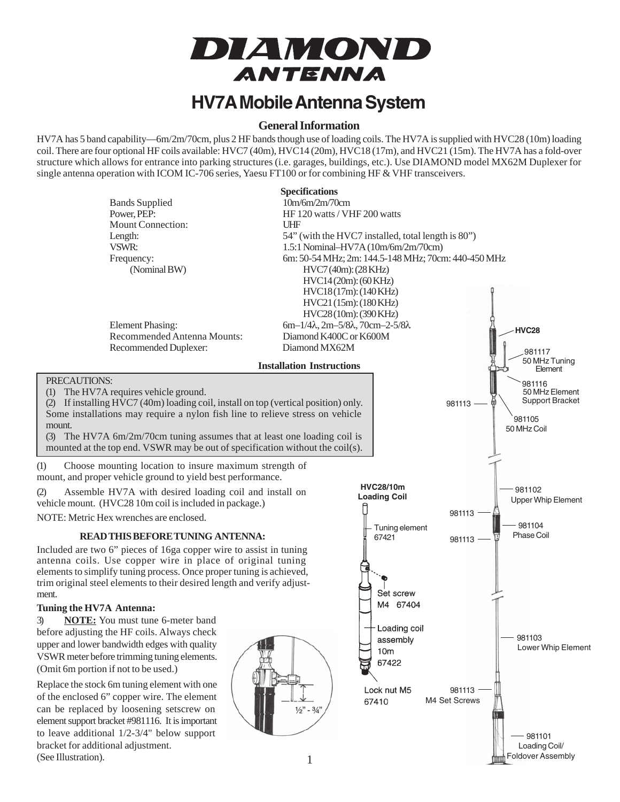

## **HV7A Mobile Antenna System**

#### **General Information**

HV7A has 5 band capability—6m/2m/70cm, plus 2 HF bands though use of loading coils. The HV7A is supplied with HVC28 (10m) loading coil. There are four optional HF coils available: HVC7 (40m), HVC14 (20m), HVC18 (17m), and HVC21 (15m). The HV7A has a fold-over structure which allows for entrance into parking structures (i.e. garages, buildings, etc.). Use DIAMOND model MX62M Duplexer for single antenna operation with ICOM IC-706 series, Yaesu FT100 or for combining HF & VHF transceivers.

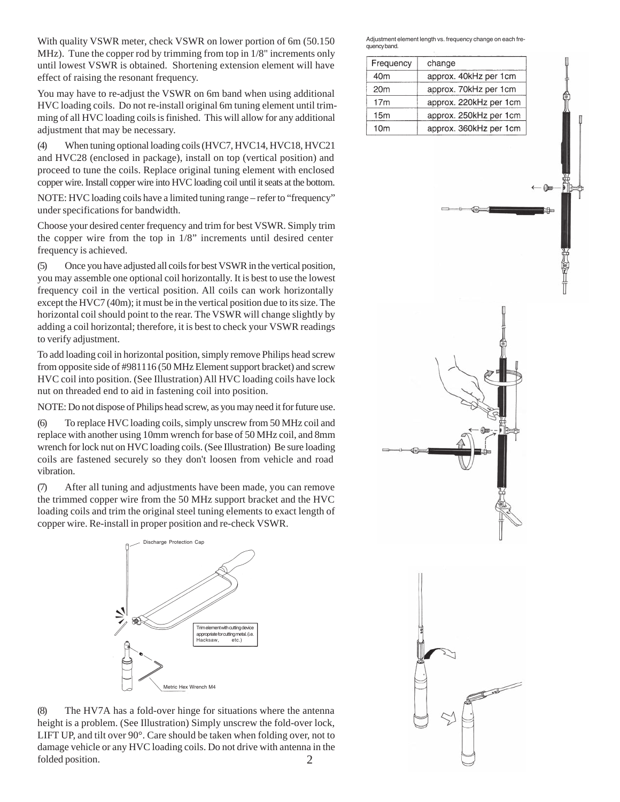With quality VSWR meter, check VSWR on lower portion of 6m (50.150 MHz). Tune the copper rod by trimming from top in 1/8" increments only until lowest VSWR is obtained. Shortening extension element will have effect of raising the resonant frequency.

You may have to re-adjust the VSWR on 6m band when using additional HVC loading coils. Do not re-install original 6m tuning element until trimming of all HVC loading coils is finished. This will allow for any additional adjustment that may be necessary.

(4) When tuning optional loading coils (HVC7, HVC14, HVC18, HVC21 and HVC28 (enclosed in package), install on top (vertical position) and proceed to tune the coils. Replace original tuning element with enclosed copper wire. Install copper wire into HVC loading coil until it seats at the bottom.

NOTE: HVC loading coils have a limited tuning range – refer to "frequency" under specifications for bandwidth.

Choose your desired center frequency and trim for best VSWR. Simply trim the copper wire from the top in 1/8" increments until desired center frequency is achieved.

(5) Once you have adjusted all coils for best VSWR in the vertical position, you may assemble one optional coil horizontally. It is best to use the lowest frequency coil in the vertical position. All coils can work horizontally except the HVC7 (40m); it must be in the vertical position due to its size. The horizontal coil should point to the rear. The VSWR will change slightly by adding a coil horizontal; therefore, it is best to check your VSWR readings to verify adjustment.

To add loading coil in horizontal position, simply remove Philips head screw from opposite side of #981116 (50 MHz Element support bracket) and screw HVC coil into position. (See Illustration) All HVC loading coils have lock nut on threaded end to aid in fastening coil into position.

NOTE: Do not dispose of Philips head screw, as you may need it for future use.

(6) To replace HVC loading coils, simply unscrew from 50 MHz coil and replace with another using 10mm wrench for base of 50 MHz coil, and 8mm wrench for lock nut on HVC loading coils. (See Illustration) Be sure loading coils are fastened securely so they don't loosen from vehicle and road vibration.

(7) After all tuning and adjustments have been made, you can remove the trimmed copper wire from the 50 MHz support bracket and the HVC loading coils and trim the original steel tuning elements to exact length of copper wire. Re-install in proper position and re-check VSWR.



2 (8) The HV7A has a fold-over hinge for situations where the antenna height is a problem. (See Illustration) Simply unscrew the fold-over lock, LIFT UP, and tilt over 90°. Care should be taken when folding over, not to damage vehicle or any HVC loading coils. Do not drive with antenna in the folded position.

Adjustment element length vs. frequency change on each frequency band.

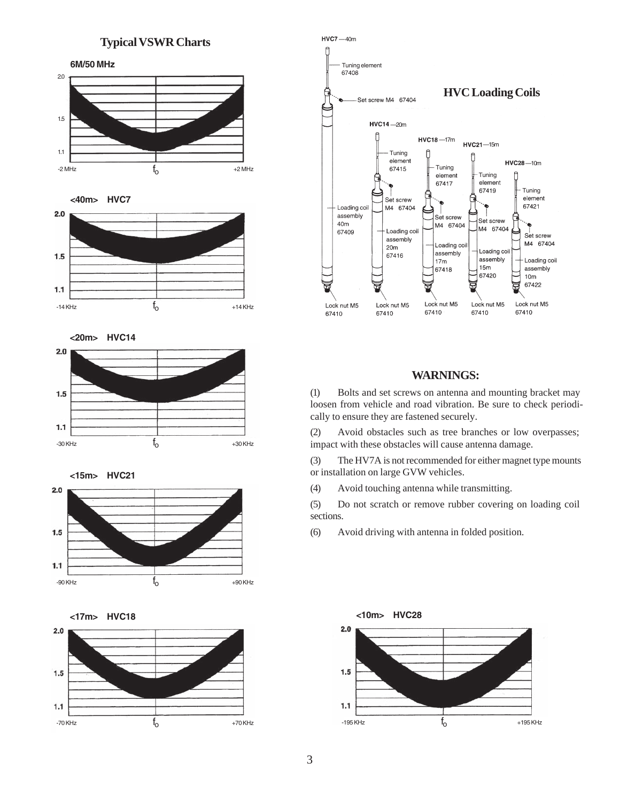#### **Typical VSWR Charts**





**<15m> HVC21**







#### **WARNINGS:**

(1) Bolts and set screws on antenna and mounting bracket may loosen from vehicle and road vibration. Be sure to check periodically to ensure they are fastened securely.

(2) Avoid obstacles such as tree branches or low overpasses; impact with these obstacles will cause antenna damage.

(3) The HV7A is not recommended for either magnet type mounts or installation on large GVW vehicles.

(4) Avoid touching antenna while transmitting.

(5) Do not scratch or remove rubber covering on loading coil sections.

(6) Avoid driving with antenna in folded position.